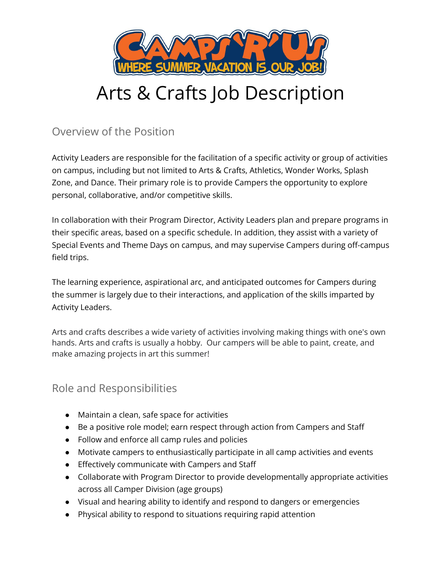

# Arts & Crafts Job Description

Overview of the Position

Activity Leaders are responsible for the facilitation of a specific activity or group of activities on campus, including but not limited to Arts & Crafts, Athletics, Wonder Works, Splash Zone, and Dance. Their primary role is to provide Campers the opportunity to explore personal, collaborative, and/or competitive skills.

In collaboration with their Program Director, Activity Leaders plan and prepare programs in their specific areas, based on a specific schedule. In addition, they assist with a variety of Special Events and Theme Days on campus, and may supervise Campers during off-campus field trips.

The learning experience, aspirational arc, and anticipated outcomes for Campers during the summer is largely due to their interactions, and application of the skills imparted by Activity Leaders.

Arts and crafts describes a wide variety of activities involving making things with one's own hands. Arts and crafts is usually a hobby. Our campers will be able to paint, create, and make amazing projects in art this summer!

# Role and Responsibilities

- Maintain a clean, safe space for activities
- Be a positive role model; earn respect through action from Campers and Staff
- Follow and enforce all camp rules and policies
- Motivate campers to enthusiastically participate in all camp activities and events
- Effectively communicate with Campers and Staff
- Collaborate with Program Director to provide developmentally appropriate activities across all Camper Division (age groups)
- Visual and hearing ability to identify and respond to dangers or emergencies
- Physical ability to respond to situations requiring rapid attention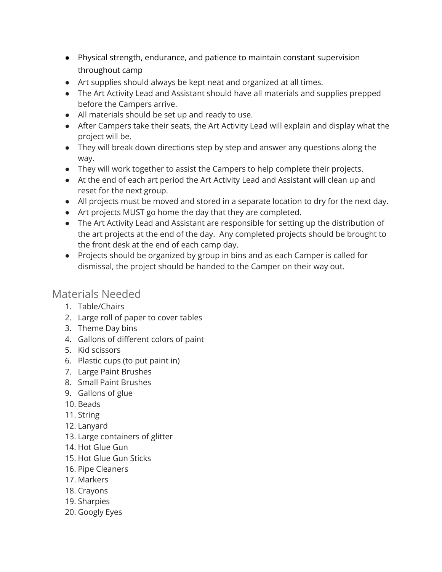- Physical strength, endurance, and patience to maintain constant supervision throughout camp
- Art supplies should always be kept neat and organized at all times.
- The Art Activity Lead and Assistant should have all materials and supplies prepped before the Campers arrive.
- All materials should be set up and ready to use.
- After Campers take their seats, the Art Activity Lead will explain and display what the project will be.
- They will break down directions step by step and answer any questions along the way.
- They will work together to assist the Campers to help complete their projects.
- At the end of each art period the Art Activity Lead and Assistant will clean up and reset for the next group.
- All projects must be moved and stored in a separate location to dry for the next day.
- Art projects MUST go home the day that they are completed.
- The Art Activity Lead and Assistant are responsible for setting up the distribution of the art projects at the end of the day. Any completed projects should be brought to the front desk at the end of each camp day.
- Projects should be organized by group in bins and as each Camper is called for dismissal, the project should be handed to the Camper on their way out.

## Materials Needed

- 1. Table/Chairs
- 2. Large roll of paper to cover tables
- 3. Theme Day bins
- 4. Gallons of different colors of paint
- 5. Kid scissors
- 6. Plastic cups (to put paint in)
- 7. Large Paint Brushes
- 8. Small Paint Brushes
- 9. Gallons of glue
- 10. Beads
- 11. String
- 12. Lanyard
- 13. Large containers of glitter
- 14. Hot Glue Gun
- 15. Hot Glue Gun Sticks
- 16. Pipe Cleaners
- 17. Markers
- 18. Crayons
- 19. Sharpies
- 20. Googly Eyes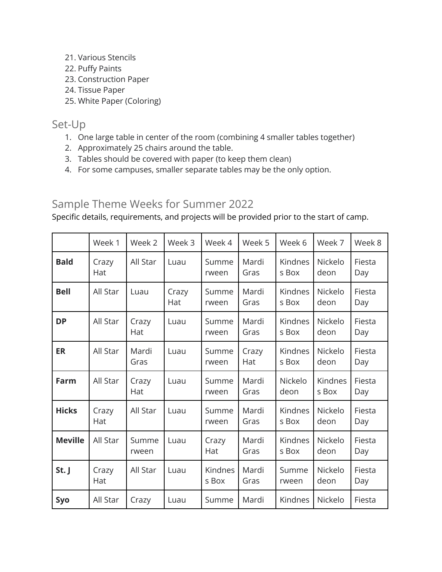- 21. Various Stencils
- 22. Puffy Paints
- 23. Construction Paper
- 24. Tissue Paper
- 25. White Paper (Coloring)

### Set-Up

- 1. One large table in center of the room (combining 4 smaller tables together)
- 2. Approximately 25 chairs around the table.
- 3. Tables should be covered with paper (to keep them clean)
- 4. For some campuses, smaller separate tables may be the only option.

# Sample Theme Weeks for Summer 2022

Specific details, requirements, and projects will be provided prior to the start of camp.

|                | Week 1       | Week 2         | Week 3       | Week 4           | Week 5        | Week 6           | Week 7           | Week 8        |
|----------------|--------------|----------------|--------------|------------------|---------------|------------------|------------------|---------------|
| <b>Bald</b>    | Crazy<br>Hat | All Star       | Luau         | Summe<br>rween   | Mardi<br>Gras | Kindnes<br>s Box | Nickelo<br>deon  | Fiesta<br>Day |
| <b>Bell</b>    | All Star     | Luau           | Crazy<br>Hat | Summe<br>rween   | Mardi<br>Gras | Kindnes<br>s Box | Nickelo<br>deon  | Fiesta<br>Day |
| <b>DP</b>      | All Star     | Crazy<br>Hat   | Luau         | Summe<br>rween   | Mardi<br>Gras | Kindnes<br>s Box | Nickelo<br>deon  | Fiesta<br>Day |
| <b>ER</b>      | All Star     | Mardi<br>Gras  | Luau         | Summe<br>rween   | Crazy<br>Hat  | Kindnes<br>s Box | Nickelo<br>deon  | Fiesta<br>Day |
| Farm           | All Star     | Crazy<br>Hat   | Luau         | Summe<br>rween   | Mardi<br>Gras | Nickelo<br>deon  | Kindnes<br>s Box | Fiesta<br>Day |
| <b>Hicks</b>   | Crazy<br>Hat | All Star       | Luau         | Summe<br>rween   | Mardi<br>Gras | Kindnes<br>s Box | Nickelo<br>deon  | Fiesta<br>Day |
| <b>Meville</b> | All Star     | Summe<br>rween | Luau         | Crazy<br>Hat     | Mardi<br>Gras | Kindnes<br>s Box | Nickelo<br>deon  | Fiesta<br>Day |
| St. J          | Crazy<br>Hat | All Star       | Luau         | Kindnes<br>s Box | Mardi<br>Gras | Summe<br>rween   | Nickelo<br>deon  | Fiesta<br>Day |
| Syo            | All Star     | Crazy          | Luau         | Summe            | Mardi         | Kindnes          | Nickelo          | Fiesta        |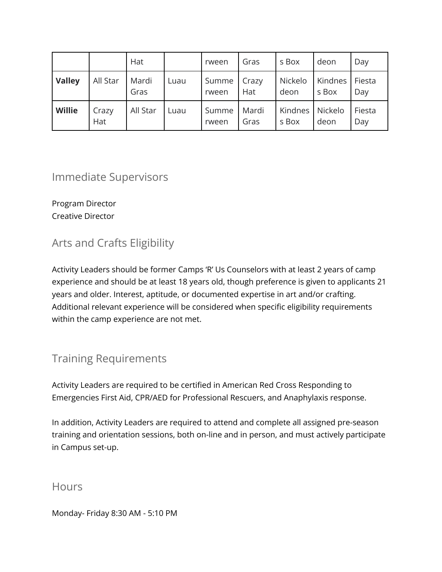|               |              | Hat           |      | rween          | Gras          | s Box            | deon             | Day           |
|---------------|--------------|---------------|------|----------------|---------------|------------------|------------------|---------------|
| <b>Valley</b> | All Star     | Mardi<br>Gras | Luau | Summe<br>rween | Crazy<br>Hat  | Nickelo<br>deon  | Kindnes<br>s Box | Fiesta<br>Day |
| <b>Willie</b> | Crazy<br>Hat | All Star      | Luau | Summe<br>rween | Mardi<br>Gras | Kindnes<br>s Box | Nickelo<br>deon  | Fiesta<br>Day |

## Immediate Supervisors

Program Director Creative Director

# Arts and Crafts Eligibility

Activity Leaders should be former Camps 'R' Us Counselors with at least 2 years of camp experience and should be at least 18 years old, though preference is given to applicants 21 years and older. Interest, aptitude, or documented expertise in art and/or crafting. Additional relevant experience will be considered when specific eligibility requirements within the camp experience are not met.

# Training Requirements

Activity Leaders are required to be certified in American Red Cross Responding to Emergencies First Aid, CPR/AED for Professional Rescuers, and Anaphylaxis response.

In addition, Activity Leaders are required to attend and complete all assigned pre-season training and orientation sessions, both on-line and in person, and must actively participate in Campus set-up.

### **Hours**

Monday- Friday 8:30 AM - 5:10 PM